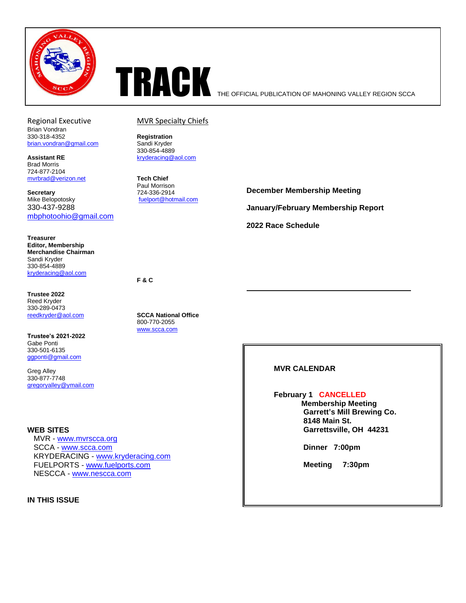



Brian Vondran 330-318-4352 **Registration** [brian.vondran@gmail.com](mailto:brian.vondran@gmail.com)

Brad Morris 724-877-2104 [mvrbrad@verizon.net](mailto:mvrbrad@verizon.net) **Tech Chief**

**Secretary** 724-336-2914<br>
Mike Belopotosky **1988**<br> *Secretary Euelport* © hote 330-437-9288 [mbphotoohio@gmail.com](mailto:mbphotoohio@gmail.com)

**Treasurer Editor, Membership Merchandise Chairman**  Sandi Kryder 330-854-4889 [kryderacing@aol.com](mailto:kryderacing@aol.com)

**Trustee 2022** Reed Kryder 330-289-0473

**Trustee's 2021-2022** Gabe Ponti 330-501-6135 [ggponti@gmail.com](mailto:ggponti@gmail.com)

Greg Alley 330-877-7748 [gregoryalley@ymail.com](mailto:gregoryalley@ymail.com)

#### **WEB SITES**

 MVR - [www.mvrscca.org](http://www.mvrscca.org/) SCCA - [www.scca.com](http://www.scca.org/) KRYDERACING - [www.kryderacing.com](http://www.kryderacing.com/) FUELPORTS - [www.fuelports.com](http://www.fuelports.com/) NESCCA - [www.nescca.com](http://www.nescca.com/)

**IN THIS ISSUE**

## Regional Executive MVR Specialty Chiefs

330-854-4889 **Assistant RE** [kryderacing@aol.com](mailto:kryderacing@aol.com)

> Paul Morrison [fuelport@hotmail.com](mailto:fuelport@hotmail.com)

**December Membership Meeting January/February Membership Report 2022 Race Schedule**

**F & C**

[reedkryder@aol.com](mailto:reedkryder@aol.com) **SCCA National Office** 800-770-2055 [www.scca.com](http://www.scca.com/)

**MVR CALENDAR**

**February 1 CANCELLED Membership Meeting Garrett's Mill Brewing Co. 8148 Main St. Garrettsville, OH 44231**

**Dinner 7:00pm**

**Meeting 7:30pm**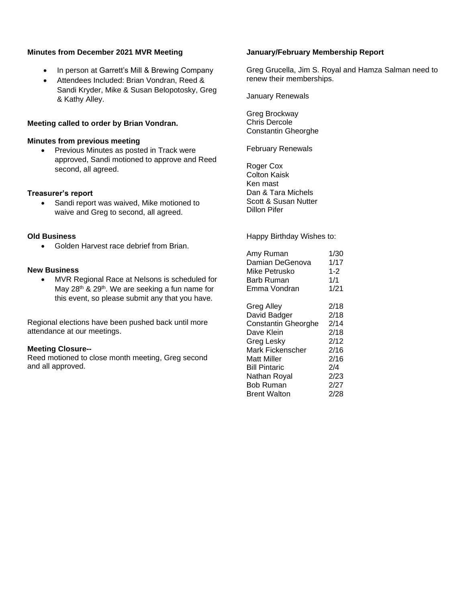## **Minutes from December 2021 MVR Meeting**

- In person at Garrett's Mill & Brewing Company
- Attendees Included: Brian Vondran, Reed & Sandi Kryder, Mike & Susan Belopotosky, Greg & Kathy Alley.

## **Meeting called to order by Brian Vondran.**

#### **Minutes from previous meeting**

• Previous Minutes as posted in Track were approved, Sandi motioned to approve and Reed second, all agreed.

### **Treasurer's report**

• Sandi report was waived, Mike motioned to waive and Greg to second, all agreed.

### **Old Business**

• Golden Harvest race debrief from Brian.

### **New Business**

• MVR Regional Race at Nelsons is scheduled for May 28<sup>th</sup> & 29<sup>th</sup>. We are seeking a fun name for this event, so please submit any that you have.

Regional elections have been pushed back until more attendance at our meetings.

### **Meeting Closure--**

Reed motioned to close month meeting, Greg second and all approved.

## **January/February Membership Report**

Greg Grucella, Jim S. Royal and Hamza Salman need to renew their memberships.

January Renewals

Greg Brockway Chris Dercole Constantin Gheorghe

February Renewals

Roger Cox Colton Kaisk Ken mast Dan & Tara Michels Scott & Susan Nutter Dillon Pifer

Happy Birthday Wishes to:

| 1/30    |
|---------|
| 1/17    |
| $1 - 2$ |
| 1/1     |
| 1/21    |
| 2/18    |
| 2/18    |
| 2/14    |
| 2/18    |
| 2/12    |
| 2/16    |
| 2/16    |
| 2/4     |
| 2/23    |
| 2/27    |
| 2/28    |
|         |